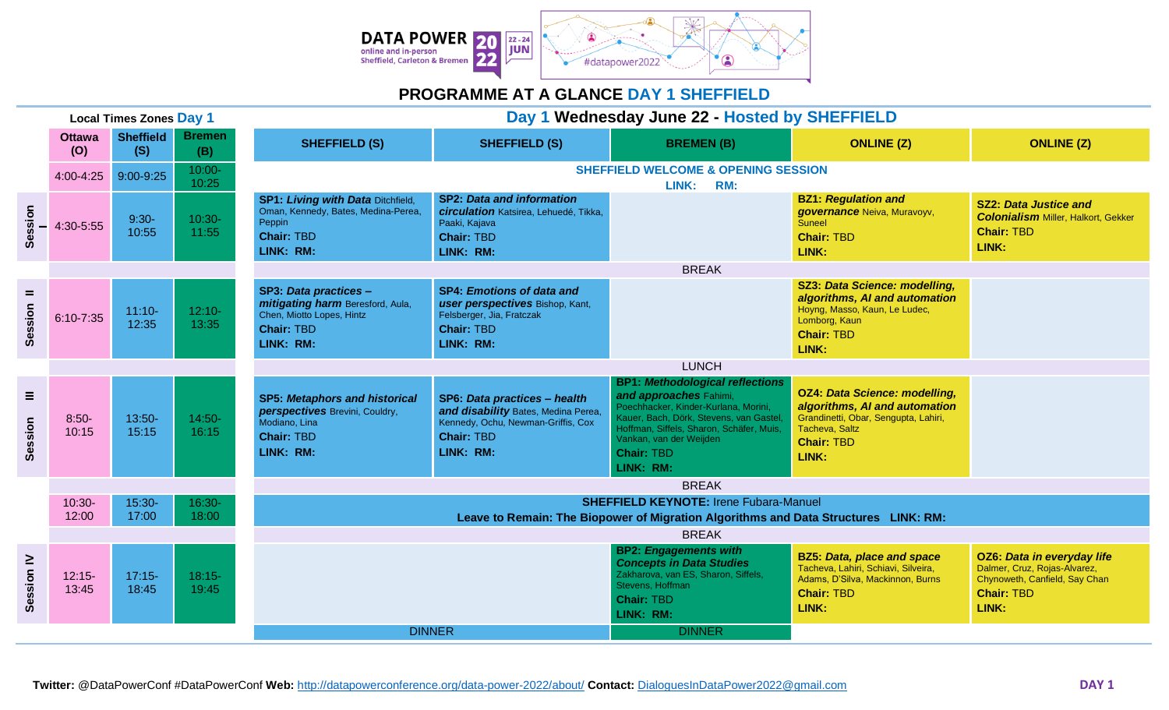

## **PROGRAMME AT A GLANCE DAY 1 SHEFFIELD**

| <b>Local Times Zones Day 1</b> |                      |                         |                      | Day 1 Wednesday June 22 - Hosted by SHEFFIELD                                                                                        |                                                                                                                                             |                                                                                                                                                                                                                                                              |                                                                                                                                                               |                                                                                                                                  |  |
|--------------------------------|----------------------|-------------------------|----------------------|--------------------------------------------------------------------------------------------------------------------------------------|---------------------------------------------------------------------------------------------------------------------------------------------|--------------------------------------------------------------------------------------------------------------------------------------------------------------------------------------------------------------------------------------------------------------|---------------------------------------------------------------------------------------------------------------------------------------------------------------|----------------------------------------------------------------------------------------------------------------------------------|--|
|                                | <b>Ottawa</b><br>(O) | <b>Sheffield</b><br>(S) | <b>Bremen</b><br>(B) | <b>SHEFFIELD (S)</b>                                                                                                                 | <b>SHEFFIELD (S)</b>                                                                                                                        | <b>BREMEN(B)</b>                                                                                                                                                                                                                                             | <b>ONLINE (Z)</b>                                                                                                                                             | <b>ONLINE (Z)</b>                                                                                                                |  |
|                                | 4:00-4:25            | 9:00-9:25               | $10:00 -$<br>10:25   | <b>SHEFFIELD WELCOME &amp; OPENING SESSION</b><br>LINK: RM:                                                                          |                                                                                                                                             |                                                                                                                                                                                                                                                              |                                                                                                                                                               |                                                                                                                                  |  |
| Session                        | 4:30-5:55            | $9:30-$<br>10:55        | $10:30-$<br>11:55    | SP1: Living with Data Ditchfield,<br>Oman, Kennedy, Bates, Medina-Perea,<br>Peppin<br><b>Chair: TBD</b><br>LINK: RM:                 | <b>SP2: Data and information</b><br>circulation Katsirea, Lehuedé, Tikka,<br>Paaki, Kajava<br><b>Chair: TBD</b><br>LINK: RM:                |                                                                                                                                                                                                                                                              | <b>BZ1: Regulation and</b><br>governance Neiva, Muravoyv,<br><b>Suneel</b><br><b>Chair: TBD</b><br>LINK:                                                      | <b>SZ2: Data Justice and</b><br><b>Colonialism Miller, Halkort, Gekker</b><br><b>Chair: TBD</b><br>LINK:                         |  |
|                                |                      |                         |                      |                                                                                                                                      |                                                                                                                                             | <b>BREAK</b>                                                                                                                                                                                                                                                 |                                                                                                                                                               |                                                                                                                                  |  |
| $=$<br>Session                 | 6:10-7:35            | $11:10-$<br>12:35       | $12:10-$<br>13:35    | SP3: Data practices -<br>mitigating harm Beresford, Aula,<br>Chen, Miotto Lopes, Hintz<br><b>Chair: TBD</b><br>LINK: RM:             | <b>SP4: Emotions of data and</b><br>user perspectives Bishop, Kant,<br>Felsberger, Jia, Fratczak<br><b>Chair: TBD</b><br>LINK: RM:          |                                                                                                                                                                                                                                                              | SZ3: Data Science: modelling,<br>algorithms, AI and automation<br>Hoyng, Masso, Kaun, Le Ludec,<br>Lomborg, Kaun<br><b>Chair: TBD</b><br>LINK:                |                                                                                                                                  |  |
|                                |                      |                         |                      | <b>LUNCH</b>                                                                                                                         |                                                                                                                                             |                                                                                                                                                                                                                                                              |                                                                                                                                                               |                                                                                                                                  |  |
| Ξ<br>Session                   | $8:50-$<br>10:15     | 13:50-<br>15:15         | $14:50-$<br>16:15    | <b>SP5: Metaphors and historical</b><br>perspectives Brevini, Couldry,<br>Modiano, Lina<br><b>Chair: TBD</b><br>LINK: RM:            | SP6: Data practices - health<br>and disability Bates, Medina Perea,<br>Kennedy, Ochu, Newman-Griffis, Cox<br><b>Chair: TBD</b><br>LINK: RM: | <b>BP1: Methodological reflections</b><br>and approaches Fahimi,<br>Poechhacker, Kinder-Kurlana, Morini,<br>Kauer, Bach, Dörk, Stevens, van Gastel,<br>Hoffman, Siffels, Sharon, Schäfer, Muis,<br>Vankan, van der Weijden<br><b>Chair: TBD</b><br>LINK: RM: | <b>OZ4: Data Science: modelling,</b><br>algorithms, AI and automation<br>Grandinetti, Obar, Sengupta, Lahiri,<br>Tacheva, Saltz<br><b>Chair: TBD</b><br>LINK: |                                                                                                                                  |  |
|                                | <b>BREAK</b>         |                         |                      |                                                                                                                                      |                                                                                                                                             |                                                                                                                                                                                                                                                              |                                                                                                                                                               |                                                                                                                                  |  |
|                                | $10:30-$<br>12:00    | $15:30-$<br>17:00       | 16:30-<br>18:00      | <b>SHEFFIELD KEYNOTE: Irene Fubara-Manuel</b><br>Leave to Remain: The Biopower of Migration Algorithms and Data Structures LINK: RM: |                                                                                                                                             |                                                                                                                                                                                                                                                              |                                                                                                                                                               |                                                                                                                                  |  |
|                                |                      |                         |                      | <b>BREAK</b>                                                                                                                         |                                                                                                                                             |                                                                                                                                                                                                                                                              |                                                                                                                                                               |                                                                                                                                  |  |
| Session <sub>IV</sub>          | $12:15-$<br>13:45    | $17:15-$<br>18:45       | $18:15-$<br>19:45    |                                                                                                                                      |                                                                                                                                             | <b>BP2: Engagements with</b><br><b>Concepts in Data Studies</b><br>Zakharova, van ES, Sharon, Siffels,<br>Stevens, Hoffman<br><b>Chair: TBD</b><br>LINK: RM:                                                                                                 | <b>BZ5: Data, place and space</b><br>Tacheva, Lahiri, Schiavi, Silveira,<br>Adams, D'Silva, Mackinnon, Burns<br><b>Chair: TBD</b><br>LINK:                    | <b>OZ6: Data in everyday life</b><br>Dalmer, Cruz, Rojas-Alvarez,<br>Chynoweth, Canfield, Say Chan<br><b>Chair: TBD</b><br>LINK: |  |
|                                |                      |                         |                      | <b>DINNER</b>                                                                                                                        |                                                                                                                                             | <b>DINNER</b>                                                                                                                                                                                                                                                |                                                                                                                                                               |                                                                                                                                  |  |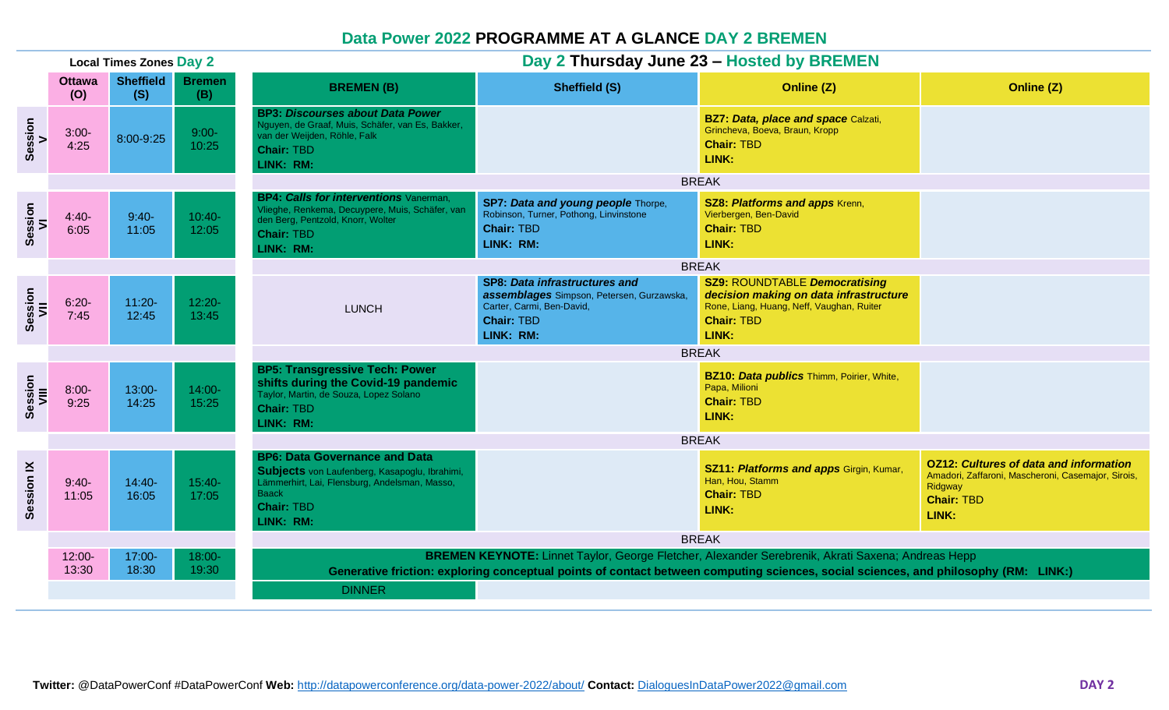## **Data Power 2022 PROGRAMME AT A GLANCE DAY 2 BREMEN**

| <b>Local Times Zones Day 2</b> |                    |                         |                      | Day 2 Thursday June 23 - Hosted by BREMEN                                                                                                                                                                                                                                                 |                                                                                                                                                  |                                                                                                                                                           |                                                                                                                                              |  |  |
|--------------------------------|--------------------|-------------------------|----------------------|-------------------------------------------------------------------------------------------------------------------------------------------------------------------------------------------------------------------------------------------------------------------------------------------|--------------------------------------------------------------------------------------------------------------------------------------------------|-----------------------------------------------------------------------------------------------------------------------------------------------------------|----------------------------------------------------------------------------------------------------------------------------------------------|--|--|
| <b>Ottawa</b><br>(0)           |                    | <b>Sheffield</b><br>(S) | <b>Bremen</b><br>(B) | <b>Sheffield (S)</b><br><b>BREMEN(B)</b>                                                                                                                                                                                                                                                  |                                                                                                                                                  | Online (Z)                                                                                                                                                | Online (Z)                                                                                                                                   |  |  |
| Session<br>V                   | $3:00-$<br>4:25    | 8:00-9:25               | $9:00-$<br>10:25     | <b>BP3: Discourses about Data Power</b><br>Nguyen, de Graaf, Muis, Schäfer, van Es, Bakker,<br>van der Weijden, Röhle, Falk<br><b>Chair: TBD</b><br>LINK: RM:                                                                                                                             |                                                                                                                                                  | <b>BZ7: Data, place and space Calzati,</b><br>Grincheva, Boeva, Braun, Kropp<br><b>Chair: TBD</b><br>LINK:                                                |                                                                                                                                              |  |  |
|                                |                    |                         |                      | <b>BREAK</b>                                                                                                                                                                                                                                                                              |                                                                                                                                                  |                                                                                                                                                           |                                                                                                                                              |  |  |
| Session<br>VI                  | $4:40-$<br>6:05    | $9:40-$<br>11:05        | $10:40-$<br>12:05    | <b>BP4: Calls for interventions</b> Vanerman.<br>SP7: Data and young people Thorpe,<br>Vlieghe, Renkema, Decuypere, Muis, Schäfer, van<br>Robinson, Turner, Pothong, Linvinstone<br>den Berg, Pentzold, Knorr, Wolter<br><b>Chair: TBD</b><br><b>Chair: TBD</b><br>LINK: RM:<br>LINK: RM: |                                                                                                                                                  | <b>SZ8: Platforms and apps Krenn,</b><br>Vierbergen, Ben-David<br><b>Chair: TBD</b><br>LINK:                                                              |                                                                                                                                              |  |  |
|                                |                    |                         |                      | <b>BREAK</b>                                                                                                                                                                                                                                                                              |                                                                                                                                                  |                                                                                                                                                           |                                                                                                                                              |  |  |
| Session<br>VII                 | $6:20-$<br>7:45    | $11:20 -$<br>12:45      | $12:20 -$<br>13:45   | <b>LUNCH</b>                                                                                                                                                                                                                                                                              | <b>SP8: Data infrastructures and</b><br>assemblages Simpson, Petersen, Gurzawska,<br>Carter, Carmi, Ben-David,<br><b>Chair: TBD</b><br>LINK: RM: | <b>SZ9: ROUNDTABLE Democratising</b><br>decision making on data infrastructure<br>Rone, Liang, Huang, Neff, Vaughan, Ruiter<br><b>Chair: TBD</b><br>LINK: |                                                                                                                                              |  |  |
|                                |                    |                         |                      |                                                                                                                                                                                                                                                                                           |                                                                                                                                                  | <b>BREAK</b>                                                                                                                                              |                                                                                                                                              |  |  |
| Session<br>VIII                | $8:00 -$<br>9:25   | 13:00-<br>14:25         | $14:00 -$<br>15:25   | <b>BP5: Transgressive Tech: Power</b><br>shifts during the Covid-19 pandemic<br>Taylor, Martin, de Souza, Lopez Solano<br><b>Chair: TBD</b><br>LINK: RM:                                                                                                                                  |                                                                                                                                                  | <b>BZ10: Data publics Thimm, Poirier, White,</b><br>Papa, Milioni<br><b>Chair: TBD</b><br>LINK:                                                           |                                                                                                                                              |  |  |
|                                |                    |                         |                      | <b>BREAK</b>                                                                                                                                                                                                                                                                              |                                                                                                                                                  |                                                                                                                                                           |                                                                                                                                              |  |  |
| Session <sub>IX</sub>          | $9:40-$<br>11:05   | $14:40-$<br>16:05       | $15:40-$<br>17:05    | <b>BP6: Data Governance and Data</b><br>Subjects von Laufenberg, Kasapoglu, Ibrahimi,<br>Lämmerhirt, Lai, Flensburg, Andelsman, Masso,<br><b>Baack</b><br><b>Chair: TBD</b><br>LINK: RM:                                                                                                  |                                                                                                                                                  | <b>SZ11: Platforms and apps Girgin, Kumar,</b><br>Han, Hou, Stamm<br><b>Chair: TBD</b><br>LINK:                                                           | <b>OZ12: Cultures of data and information</b><br>Amadori, Zaffaroni, Mascheroni, Casemajor, Sirois,<br>Ridgway<br><b>Chair: TBD</b><br>LINK: |  |  |
|                                |                    |                         |                      | <b>BREAK</b>                                                                                                                                                                                                                                                                              |                                                                                                                                                  |                                                                                                                                                           |                                                                                                                                              |  |  |
|                                | $12:00 -$<br>13:30 | 17:00-<br>18:30         | $18:00 -$<br>19:30   | BREMEN KEYNOTE: Linnet Taylor, George Fletcher, Alexander Serebrenik, Akrati Saxena; Andreas Hepp<br>Generative friction: exploring conceptual points of contact between computing sciences, social sciences, and philosophy (RM: LINK:)<br><b>DINNER</b>                                 |                                                                                                                                                  |                                                                                                                                                           |                                                                                                                                              |  |  |